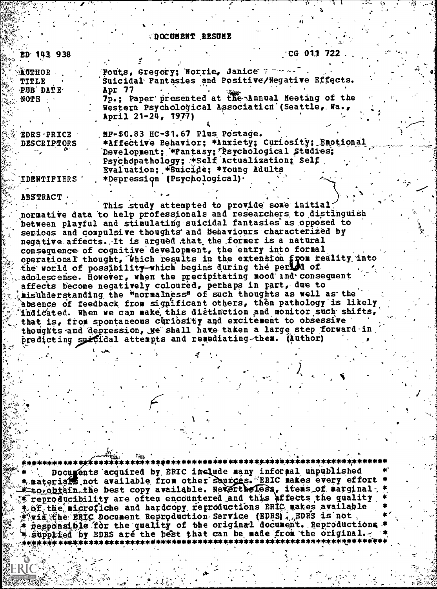## DOCUMENT RESUME

| ED 143 938         | $\sqrt{CG}$ 011 722.                                |
|--------------------|-----------------------------------------------------|
|                    |                                                     |
| <b>AUTHOR</b>      | Fouts, Gregory; Norrie, Janice 7 7 20               |
| TITLE              | Suicidal Fantasies and Positive/Negative Effects.   |
| PUB DATE           | Apr 77                                              |
| $\therefore$ NOTE  | 7p.; Paper presented at the Annual Meeting of the   |
|                    | Western Psychological Association (Seattle, Wa.,    |
|                    | April 21-24, 1977)                                  |
|                    |                                                     |
| <b>EDRS PRICE</b>  | MF-\$0.83 HC-\$1.67 Plus Postage.                   |
| <b>DESCRIPTORS</b> | *Affective Behavior; *Anxiety; Curiosity; Emotional |
|                    | Development; *Fantasy; Psychological Studies;       |
|                    | Psychopathology; *Self Actualization; Self          |
|                    | Evaluation; *Suicide; *Young Adults                 |
| <b>IDRNTIFIERS</b> | *Depression (Psychological).                        |
|                    |                                                     |
| 10CTD1CT           |                                                     |

This study attempted to provide some initial? normative data to help professionals and researchers to distinguish between playful and stimulating suicidal fantasies as opposed to serious and compulsive thoughts and behaviours characterized by negative affects. It is argued that the former is a natural consequence of cognitive development, the entry into formal operational thought, which results in the extension from reality into the world of possibility which begins during the period of adolescense. However, when the precipitating mood and consequent affects become negatively coloured, perhaps in part, due to misunderstanding the "normalness" of such thoughts as well as the absence of feedback from significant others, then pathology is likely indicated. When we can make this distinction and monitor such shifts, that is, from spontaneous curiosity and excitement to obsessive thoughts and depression, we shall have taken a large step forward in predicting suicidal attempts and remediating-them. (Nuthor)

Documents acquired by ERIC include many informal unpublished materials, not available from other sources. ERIC makes every effort to obtain the best copy available. Nevertheless, items of marginal, reproducibility are often encountered and this affects the quality of the microfiche and hardcopy reproductions ERIC makes available wia the ERIC Document Reproduction Service (EDRS). EDRS is not, responsible for the quality of the original document. Reproductions supplied by EDRS are the best that can be made from the original.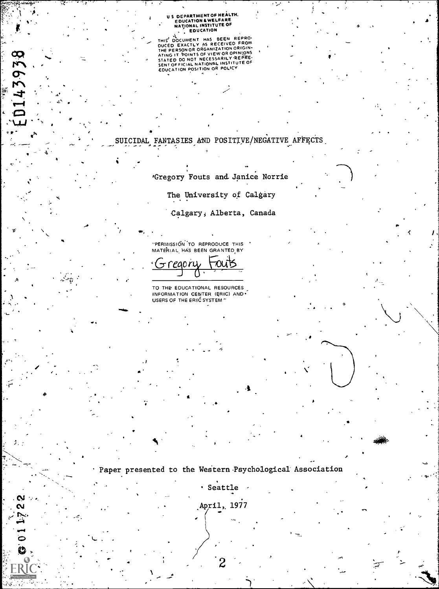## U S DEPARTMENT OF HEALTH.<br>EDUCATION & WELFARE<br>NATIONAL INSTITUTE OF<br>NATIONAL INSTITUTE OF

THIS' DOCUMENT HAS BEEN REPROM<br>DUCED EXACTLY AS RECEIVED FROM<br>THE PERSON OR ORGANIZATION ORIGIN<br>THE PERSON OR ORGANIZATION ORIGINS<br>STATED DO NOT NECESSARILY REPRE-<br>SENT OFFICIAL NATIONAL INSTITUTE OF<br>EDUCATION POSITION OR

 $\mathbf{3}$ 

ر و د

ED143938

 $\sum_{i=1}^{n}$ 

 $\ddot{\theta}$ 

,

**Rimson** 

SUICIDAL FANTASIES AND POSITIVE/NEGATIVE AFFECTS

'Gregory Fouts and Janice Norrie

The University of Calgary

Calgary, Alberta, Canada

 $\bullet$  and  $\bullet$ 

6

"PERMISSION 'TO REPRODUCE THIS MATERIAL HAS BEEN GRANTED BY

Gregory Fouts

TO THE EDUCATIONAL RESOURCES INFORMATION CENTER (ERIC) AND USERS OF THE ERIC SYSTEM "

 $\blacksquare$ 

Paper presented to the Western Psychological Association

Seattle -

,April, 1977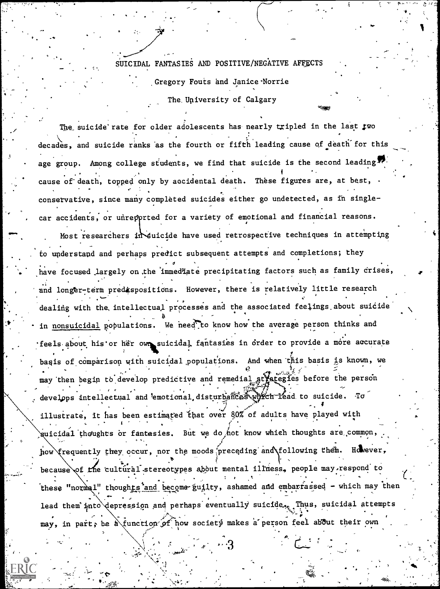SUICIDAL FANTASIES AND POSITIVE/NEGATIVE AFFECTS

Gregory Fouts and Janice Norrie

The University of Calgary

The suicide rate for older adolescents has nearly tripled in the last two decades, and suicide ranks as the fourth or fifth leading cause of death for this age group. Among college students, we find that suicide is the second leading cause of death, topped only by accidental death. These figures are, at best, conservative, since many complèted suicides either go undetected, as in singlecar accidents, or unrepprted for a variety of emotional and financial reasons. Most researchers in suicide have used retrospective techniques in attempting to understand and perhaps predict subsequent attempts and completions; they have focused largely on the immediate precipitating factors such as family crises, and longer-term predispositions. However, there is relatively little research dealing with the intellectual processes and the associated feelings about suicide in nonsuicidal populations. We need to know how the average person thinks and feels about his or her own suicidal fantasies in order to provide a more accurate basis of comparison with suicidal populations. And when this basis is known, we may then begin to develop predictive and remedial strategies before the person develops intellectual and emotional disturbances which lead to suicide. To illustrate, it has been estimated that over 80% of adults have played with guicidal thoughts or fantasies. But we do not know which thoughts are common, how frequently they occur, nor the moods preceding and following them. However, because of the cultural stereotypes about mental illness, people may respond to these "normal" thoughts and become guilty, ashamed and embarrassed - which may then lead them into depression and perhaps eventually suicide. Thus, suicidal attempts may, in part, be a function of how society makes a person feel about their own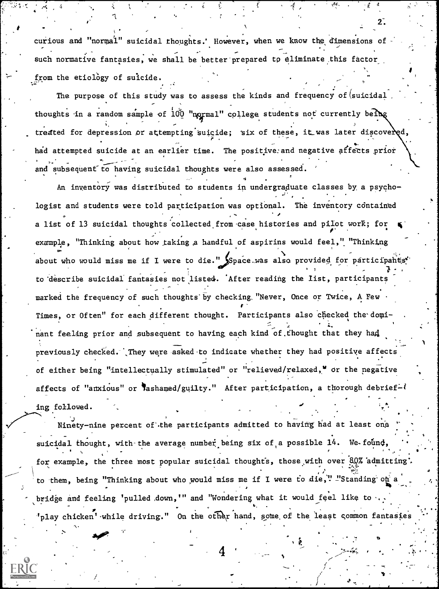curious and "normal" suicidal thoughts.' However, when we know the dimensions of such normative fantasies, we shall be better prepared to eliminate this factor. from the etiology of suicide.

The purpose of this study was to assess the kinds and frequency of  $(suicidal)$ thoughts in a random sample of  $100$  "normal" college students not currently being . treated for depression or attempting suicide; six of these, it was later discovered, had attempted suicide at an earlier time. The positive and negative affects prior and subsequent to having suicidal thoughts were also assessed.

. The contract of the contract of the contract of the contract of the contract of the contract of the contract of the contract of the contract of the contract of the contract of the contract of the contract of the contrac An inventory was distributed to students in undergraduate classes by, a psycho-  $\sim$  . So, the set of  $\sim$ logist and students were told participation was optional. The inventory contained  $\circ$  and  $\circ$ a list of 13 suicidal thoughts collected from case histories and pilot work; for example, "Thinking about how taking a handful of aspirins would feel," "Thinking about who would miss me if I were to die." Space was also provided for participants' to 'describe suicidal fantasies not listed. 'After reading the list, participants . marked the frequency of such thoughts by checking. "Never, Once or Twice, A Few Times, or Often" for each different thought. Participants also checked the dominant feeling prior and subsequent to having each kind of thought that they had previously checked. They were asked to indicate whether they had positive affects of either being "intellectually stimulated" or "relieved/relaxed," or the negative affects of "anxious" or lashamed/guilty." After participation, a thorough debrief- $\ell$ ing followed.

Ninety-nine percent of the participants admitted to having had at least one suicidal thought, with the average number being six of a possible 14. We-found,  $\ddot{\cdot}$ . The contract of the contract of the contract of the contract of the contract of the contract of the contract of the contract of the contract of the contract of the contract of the contract of the contract of the contrac for example, the three most popular suicidal thoughts, those with over  $\frac{10}{2}$  admitting'. to them, being "Thinking about who would miss me if I were to die,"  $\frac{1}{2}$  Standing on a bridge and feeling 'pulled down,'" and "Wondering what it would feel like to  $\bullet$ , ... . . . . . <sup>P</sup> . ,  $\mathcal{S}_{\text{p}}$ lay chicken' while driving." On the other hand, some of the least common fantasies  $\ldots$  .

4

 $2\tilde{.}$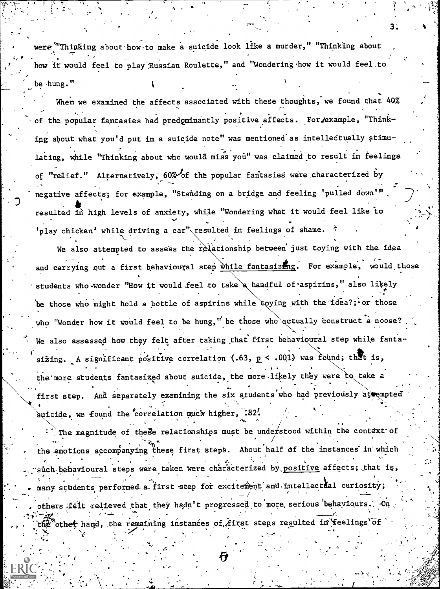were "Thinking about how to make a suicide look like a murder," "Thinking about how it would feel to play Russian Roulette," and "Wondering how it would feel to be hung." ,

3.

 $\mathbf{r}$  and  $\mathbf{r}$ 

 $t_{\rm{max}}$ 

 $\sim$  100  $\mu$ 

When we examined the affects associated with these thoughts, we found that 40% of the popular fantasies had predominantly positive affects. For example, "Thinking about what you'd put in a suicide note" was mentioned'as intellectually stimulating, while "Thinking about who would miss you" was claimed to result in feelings of "relief." Alternatively, 60% of the popular fantasies were characterized by negative affects; for example, "Standing on a bridge and feeling 'pulled down'". resulted in high levels of anxiety, while "Wondering what it would feel like to  $\mathbf{v}$  $\overline{\phantom{a}}$ 'play chicken' while driving a car" resulted in feelings of shame.

We also attempted to assess the relationship between just toying with the idea and carrying out a first behavioural step while fantasizing. For example, would those students who wonder "How it would feel to take a handful of aspirins," also likely be those who might hold a bottle of aspirins while toying with the idea?; or those who "Wonder how it would feel to be hung," be those who actually construct a noose? We also assessed how they felt after taking that first behavioural step while fanta- $\sim$ sizing. A significant positive correlation (.63,  $p$  < .001) was found; that is, the more students fantasized about suicide, the more likely they were to take a  $-$  -  $$ first step. And separately examining the six students who had previously attempted  $\qquad$ suicide, we found the correlation much higher,  $.82'$ .

The magnitude of these relationships must be understood within the context of the emotions accompanying these first steps. About half of the instances in which  $s\`u\`ch$  behavioural steps were taken were characterized by positive affects; that is, many students performed a first step for excitement and intellectual curiosity; others felt relieved that they hadn't progressed to more serious behaviours. On othet hand, the remaining instances of first steps resulted in feelings of

.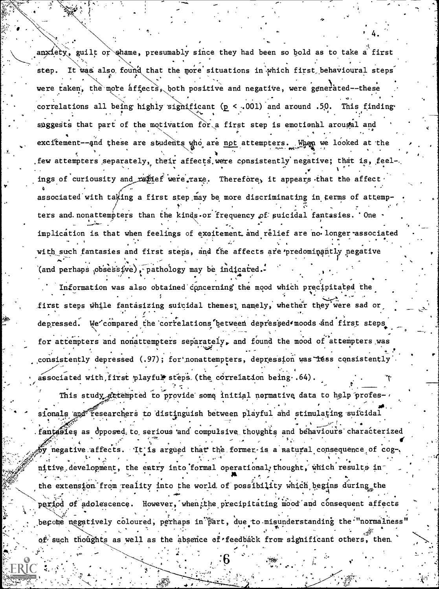anxiety, guilt or shame, presumably since they had been so bold as to take a first step. It was also found that the more situations in which first behavioural steps were taken, the more affects, both positive and negative, were generated--these correlations all being highly significant ( $p < .001$ ) and around .50. This finding suggests that part of the motivation for a first step is emotional arougal and excitement--and these are students who are not attempters. When we looked at the few attempters separately, their affects were consistently negative; that is, feelings of curiousity and rafief were rare. Therefore, it appears that the affect associated with taking a first step may be more discriminating in terms of attempters and nonattempters than the kinds or frequency of suicidal fantasies. One implication is that when feelings of excitement and relief are no longer associated with such fantasies and first steps, and the affects are predominantly negative (and perhaps obsessive), pathology may be indicated.

Information was also obtained concerning the mood which precipitated the first steps while fantasizing suicidal themes; namely, whether they were sad or depressed. We'compared the correlations between depressed moods and first steps for attempters and nonattempters separately, and found the mood of attempters was consistently depressed (.97); for nonattempters, depression was less consistently associated with first playful steps (the correlation being .64)

This study attempted to provide some initial normative data to help professionals and researchers to distinguish between playful and stimulating suicidal

fantables as opposed to serious and compulsive thoughts and behaviours characterized by negative affects. It is argued that the former is a natural consequence of cognitive development, the entry into formal operational thought, which results in the extension from reality into the world of possibility which begins during the period of adolescence. However, when the precipitating mood and consequent affects become negatively coloured, perhaps in part, due to misunderstanding the "normalness" of such thoughts as well as the absence of feedback from significant others, then.